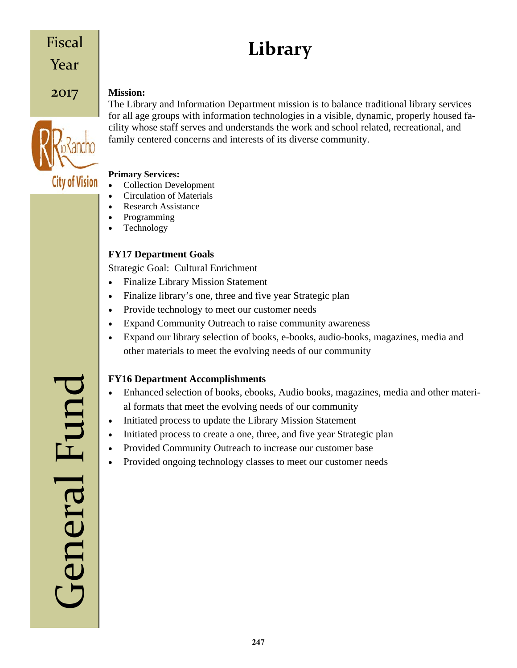# Fiscal

Year

# 2017



#### **Mission:**

The Library and Information Department mission is to balance traditional library services for all age groups with information technologies in a visible, dynamic, properly housed facility whose staff serves and understands the work and school related, recreational, and family centered concerns and interests of its diverse community.

**Library**

#### **Primary Services:**

- Collection Development
- Circulation of Materials
- Research Assistance
- Programming
- Technology

## **FY17 Department Goals**

Strategic Goal: Cultural Enrichment

- Finalize Library Mission Statement
- Finalize library's one, three and five year Strategic plan
- Provide technology to meet our customer needs
- Expand Community Outreach to raise community awareness
- Expand our library selection of books, e-books, audio-books, magazines, media and other materials to meet the evolving needs of our community

## **FY16 Department Accomplishments**

- Enhanced selection of books, ebooks, Audio books, magazines, media and other material formats that meet the evolving needs of our community
- Initiated process to update the Library Mission Statement
- Initiated process to create a one, three, and five year Strategic plan
- Provided Community Outreach to increase our customer base
- Provided ongoing technology classes to meet our customer needs

General Fund General Fun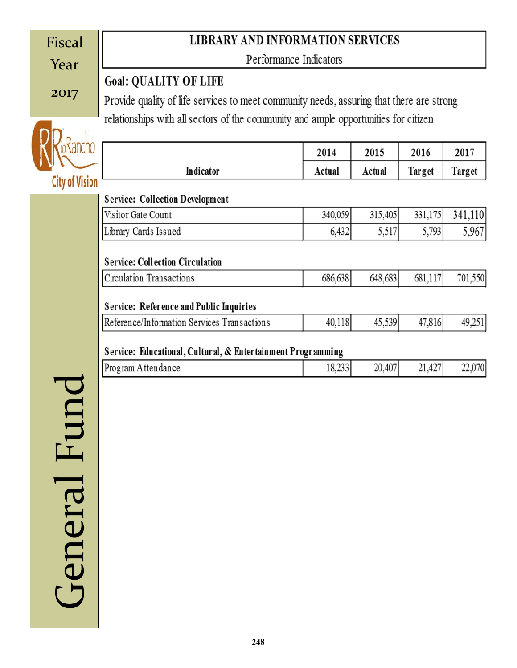| Fiscal                | <b>LIBRARY AND INFORMATION SERVICES</b>                                                  |         |         |         |         |  |  |  |  |
|-----------------------|------------------------------------------------------------------------------------------|---------|---------|---------|---------|--|--|--|--|
| Year                  | Performance Indicators                                                                   |         |         |         |         |  |  |  |  |
|                       | <b>Goal: QUALITY OF LIFE</b>                                                             |         |         |         |         |  |  |  |  |
| 2017                  | Provide quality of life services to meet community needs, assuring that there are strong |         |         |         |         |  |  |  |  |
|                       | relationships with all sectors of the community and ample opportunities for citizen      |         |         |         |         |  |  |  |  |
|                       |                                                                                          |         |         |         |         |  |  |  |  |
|                       |                                                                                          | 2014    | 2015    | 2016    | 2017    |  |  |  |  |
|                       | Indicator                                                                                | Actual  | Actual  | Target  | Target  |  |  |  |  |
| <b>City of Vision</b> | <b>Service: Collection Development</b>                                                   |         |         |         |         |  |  |  |  |
|                       | Visitor Gate Count                                                                       | 340,059 | 315,405 | 331,175 | 341,110 |  |  |  |  |
|                       | Library Cards Issued                                                                     | 6,432   | 5,517   | 5,793   | 5,967   |  |  |  |  |
|                       |                                                                                          |         |         |         |         |  |  |  |  |
|                       | <b>Service: Collection Circulation</b>                                                   |         |         |         |         |  |  |  |  |
|                       | Circulation Transactions                                                                 | 686,638 | 648,683 | 681,117 | 701,550 |  |  |  |  |
|                       | <b>Service: Reference and Public Inquiries</b>                                           |         |         |         |         |  |  |  |  |
|                       | Reference/Information Services Transactions                                              | 40,118  | 45,539  | 47,816  | 49,251  |  |  |  |  |
|                       |                                                                                          |         |         |         |         |  |  |  |  |
|                       | Service: Educational, Cultural, & Entertainment Programming<br>Program Attendance        | 18,233  |         | 21,427  |         |  |  |  |  |
|                       |                                                                                          |         | 20,407  |         | 22,070  |  |  |  |  |
|                       |                                                                                          |         |         |         |         |  |  |  |  |
|                       |                                                                                          |         |         |         |         |  |  |  |  |
| Fur                   |                                                                                          |         |         |         |         |  |  |  |  |
|                       |                                                                                          |         |         |         |         |  |  |  |  |
|                       |                                                                                          |         |         |         |         |  |  |  |  |
|                       |                                                                                          |         |         |         |         |  |  |  |  |
| General               |                                                                                          |         |         |         |         |  |  |  |  |
|                       |                                                                                          |         |         |         |         |  |  |  |  |
|                       |                                                                                          |         |         |         |         |  |  |  |  |
|                       |                                                                                          |         |         |         |         |  |  |  |  |
|                       |                                                                                          |         |         |         |         |  |  |  |  |
|                       |                                                                                          |         |         |         |         |  |  |  |  |
|                       |                                                                                          |         |         |         |         |  |  |  |  |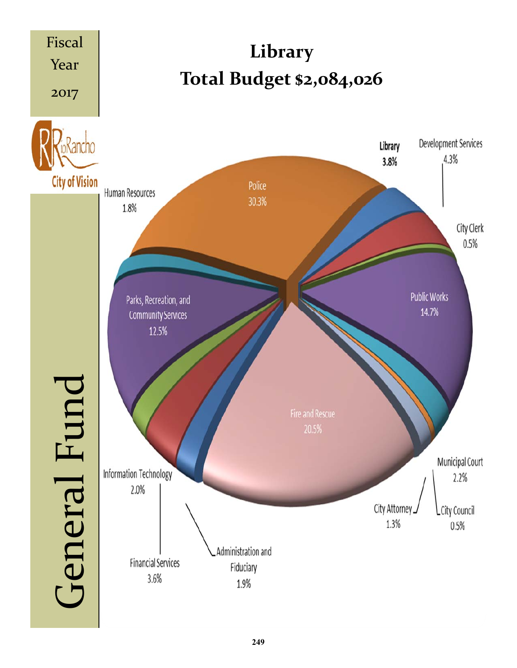